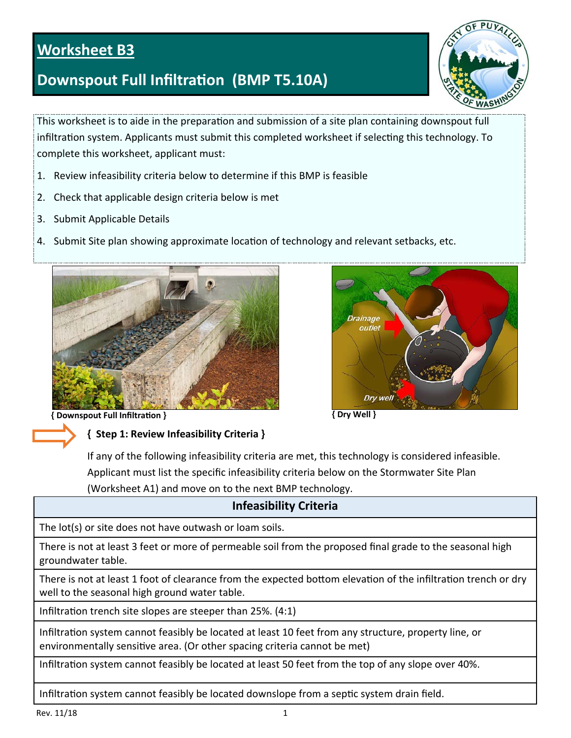# **Worksheet B3**

# **Downspout Full InfiltraƟon (BMP T5.10A)**



This worksheet is to aide in the preparation and submission of a site plan containing downspout full infiltration system. Applicants must submit this completed worksheet if selecting this technology. To complete this worksheet, applicant must:

- 1. Review infeasibility criteria below to determine if this BMP is feasible
- 2. Check that applicable design criteria below is met
- 3. Submit Applicable Details
- 4. Submit Site plan showing approximate location of technology and relevant setbacks, etc.







**{ Downspout Full InfiltraƟon } { Dry Well }** 

#### **{ Step 1: Review Infeasibility Criteria }**

If any of the following infeasibility criteria are met, this technology is considered infeasible. Applicant must list the specific infeasibility criteria below on the Stormwater Site Plan (Worksheet A1) and move on to the next BMP technology.

# **Infeasibility Criteria**

The lot(s) or site does not have outwash or loam soils.

There is not at least 3 feet or more of permeable soil from the proposed final grade to the seasonal high groundwater table.

There is not at least 1 foot of clearance from the expected bottom elevation of the infiltration trench or dry well to the seasonal high ground water table.

Infiltration trench site slopes are steeper than 25%. (4:1)

Infiltration system cannot feasibly be located at least 10 feet from any structure, property line, or environmentally sensitive area. (Or other spacing criteria cannot be met)

Infiltration system cannot feasibly be located at least 50 feet from the top of any slope over 40%.

Infiltration system cannot feasibly be located downslope from a septic system drain field.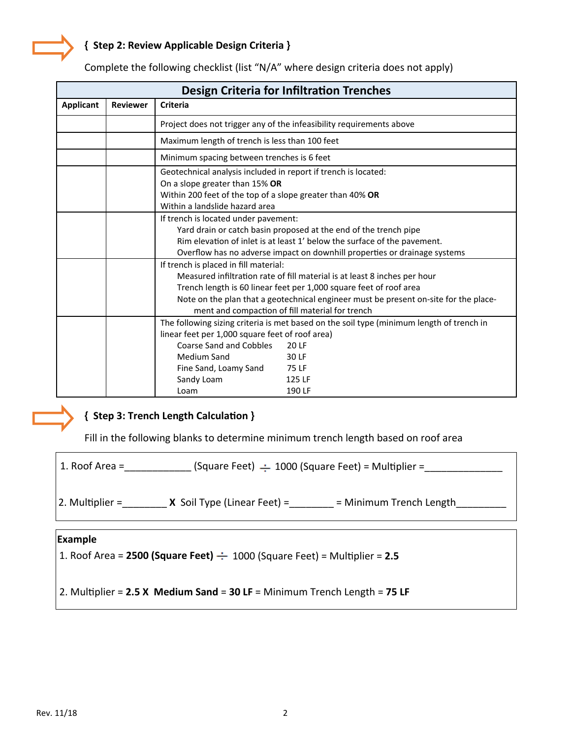### **{ Step 2: Review Applicable Design Criteria }**

| <b>Design Criteria for Infiltration Trenches</b> |                 |                                                                                                                                                                                                                                                                                                                                     |  |  |  |
|--------------------------------------------------|-----------------|-------------------------------------------------------------------------------------------------------------------------------------------------------------------------------------------------------------------------------------------------------------------------------------------------------------------------------------|--|--|--|
| <b>Applicant</b>                                 | <b>Reviewer</b> | <b>Criteria</b>                                                                                                                                                                                                                                                                                                                     |  |  |  |
|                                                  |                 | Project does not trigger any of the infeasibility requirements above                                                                                                                                                                                                                                                                |  |  |  |
|                                                  |                 | Maximum length of trench is less than 100 feet                                                                                                                                                                                                                                                                                      |  |  |  |
|                                                  |                 | Minimum spacing between trenches is 6 feet                                                                                                                                                                                                                                                                                          |  |  |  |
|                                                  |                 | Geotechnical analysis included in report if trench is located:<br>On a slope greater than 15% OR<br>Within 200 feet of the top of a slope greater than 40% OR<br>Within a landslide hazard area                                                                                                                                     |  |  |  |
|                                                  |                 | If trench is located under pavement:<br>Yard drain or catch basin proposed at the end of the trench pipe<br>Rim elevation of inlet is at least 1' below the surface of the pavement.<br>Overflow has no adverse impact on downhill properties or drainage systems                                                                   |  |  |  |
|                                                  |                 | If trench is placed in fill material:<br>Measured infiltration rate of fill material is at least 8 inches per hour<br>Trench length is 60 linear feet per 1,000 square feet of roof area<br>Note on the plan that a geotechnical engineer must be present on-site for the place-<br>ment and compaction of fill material for trench |  |  |  |
|                                                  |                 | The following sizing criteria is met based on the soil type (minimum length of trench in<br>linear feet per 1,000 square feet of roof area)<br>Coarse Sand and Cobbles<br>20 LF<br>Medium Sand<br>30 LF<br>75 LF<br>Fine Sand, Loamy Sand<br>Sandy Loam<br>125 LF<br>190 LF<br>Loam                                                 |  |  |  |

Complete the following checklist (list "N/A" where design criteria does not apply)



### **{ Step 3: Trench Length CalculaƟon }**

Fill in the following blanks to determine minimum trench length based on roof area

| $\vert$ 1. Roof Area = | $(Square$ Feet) $\div$ 1000 (Square Feet) = Multiplier = |
|------------------------|----------------------------------------------------------|
|                        |                                                          |

2. Multiplier =  $X$  Soil Type (Linear Feet) =  $\qquad$  = Minimum Trench Length

#### **Example**

1. Roof Area = 2500 (Square Feet)  $\div$  1000 (Square Feet) = Multiplier = 2.5

2. MulƟplier = **2.5 X Medium Sand** = **30 LF** = Minimum Trench Length = **75 LF**